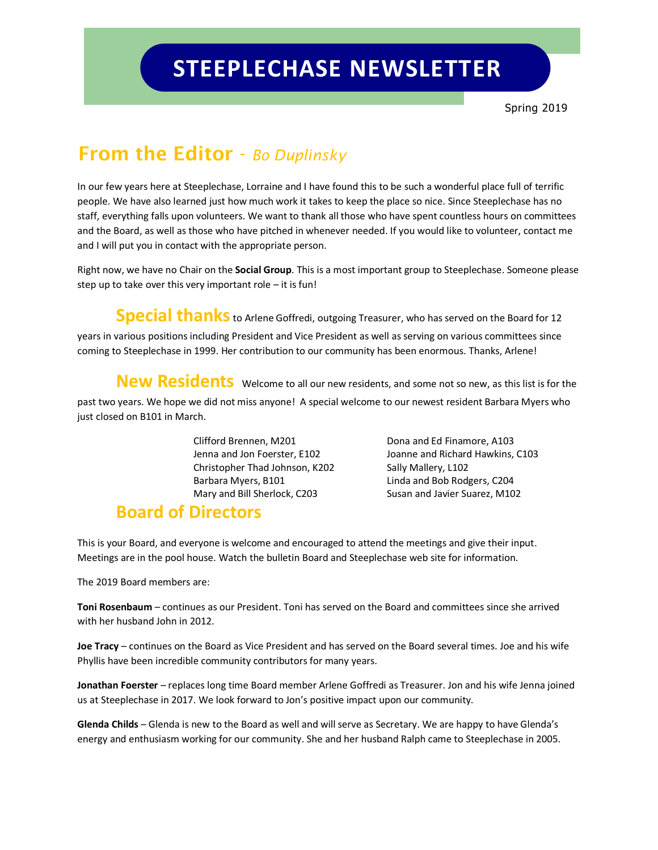## **STEEPLECHASE NEWSLETTER**

### **From the Editor** - *Bo Duplinsky*

In our few years here at Steeplechase, Lorraine and I have found this to be such a wonderful place full of terrific people. We have also learned just how much work it takes to keep the place so nice. Since Steeplechase has no staff, everything falls upon volunteers. We want to thank all those who have spent countless hours on committees and the Board, as well as those who have pitched in whenever needed. If you would like to volunteer, contact me and I will put you in contact with the appropriate person.

Right now, we have no Chair on the **Social Group**. This is a most important group to Steeplechase. Someone please step up to take over this very important role  $-$  it is fun!

**Special thanks** to Arlene Goffredi, outgoing Treasurer, who has served on the Board for 12 years in various positions including President and Vice President as well as serving on various committees since coming to Steeplechase in 1999. Her contribution to our community has been enormous. Thanks, Arlene!

**New Residents** welcome to all our new residents, and some not so new, as this list is for the

past two years. We hope we did not miss anyone! A special welcome to our newest resident Barbara Myers who just closed on B101 in March.

> Clifford Brennen, M201 Dona and Ed Finamore, A103 Christopher Thad Johnson, K202 Sally Mallery, L102 Barbara Myers, B101 Linda and Bob Rodgers, C204 Mary and Bill Sherlock, C203 Susan and Javier Suarez, M102

Jenna and Jon Foerster, E102 Joanne and Richard Hawkins, C103

#### **Board of Directors**

This is your Board, and everyone is welcome and encouraged to attend the meetings and give their input. Meetings are in the pool house. Watch the bulletin Board and Steeplechase web site for information.

The 2019 Board members are:

**Toni Rosenbaum** – continues as our President. Toni has served on the Board and committees since she arrived with her husband John in 2012.

**Joe Tracy** – continues on the Board as Vice President and has served on the Board several times. Joe and his wife Phyllis have been incredible community contributors for many years.

**Jonathan Foerster** – replaces long time Board member Arlene Goffredi as Treasurer. Jon and his wife Jenna joined us at Steeplechase in 2017. We look forward to Jon's positive impact upon our community.

**Glenda Childs** – Glenda is new to the Board as well and will serve as Secretary. We are happy to have Glenda's energy and enthusiasm working for our community. She and her husband Ralph came to Steeplechase in 2005.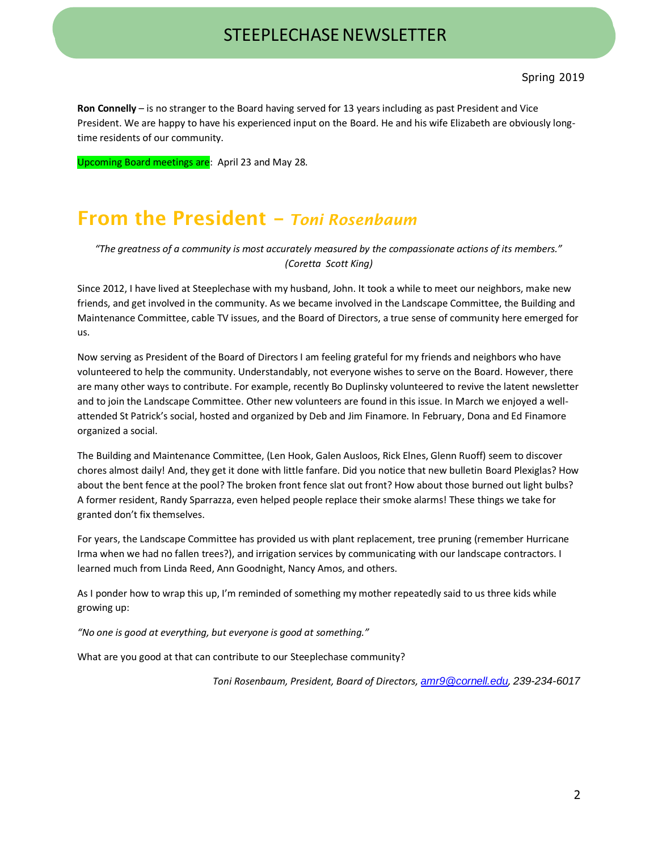# STEEPLECHASE NEWSLETTER

**Ron Connelly** – is no stranger to the Board having served for 13 years including as past President and Vice President. We are happy to have his experienced input on the Board. He and his wife Elizabeth are obviously longtime residents of our community.

Upcoming Board meetings are: April 23 and May 28.

#### **From the President –** *Toni Rosenbaum*

*"The greatness of a community is most accurately measured by the compassionate actions of its members." (Coretta Scott King)*

Since 2012, I have lived at Steeplechase with my husband, John. It took a while to meet our neighbors, make new friends, and get involved in the community. As we became involved in the Landscape Committee, the Building and Maintenance Committee, cable TV issues, and the Board of Directors, a true sense of community here emerged for us.

Now serving as President of the Board of Directors I am feeling grateful for my friends and neighbors who have volunteered to help the community. Understandably, not everyone wishes to serve on the Board. However, there are many other ways to contribute. For example, recently Bo Duplinsky volunteered to revive the latent newsletter and to join the Landscape Committee. Other new volunteers are found in this issue. In March we enjoyed a wellattended St Patrick's social, hosted and organized by Deb and Jim Finamore. In February, Dona and Ed Finamore organized a social.

The Building and Maintenance Committee, (Len Hook, Galen Ausloos, Rick Elnes, Glenn Ruoff) seem to discover chores almost daily! And, they get it done with little fanfare. Did you notice that new bulletin Board Plexiglas? How about the bent fence at the pool? The broken front fence slat out front? How about those burned out light bulbs? A former resident, Randy Sparrazza, even helped people replace their smoke alarms! These things we take for granted don't fix themselves.

For years, the Landscape Committee has provided us with plant replacement, tree pruning (remember Hurricane Irma when we had no fallen trees?), and irrigation services by communicating with our landscape contractors. I learned much from Linda Reed, Ann Goodnight, Nancy Amos, and others.

As I ponder how to wrap this up, I'm reminded of something my mother repeatedly said to us three kids while growing up:

*"No one is good at everything, but everyone is good at something."*

What are you good at that can contribute to our Steeplechase community?

*Toni Rosenbaum, President, Board of Directors, [amr9@cornell.edu](mailto:amr9@cornell.edu), 239-234-6017*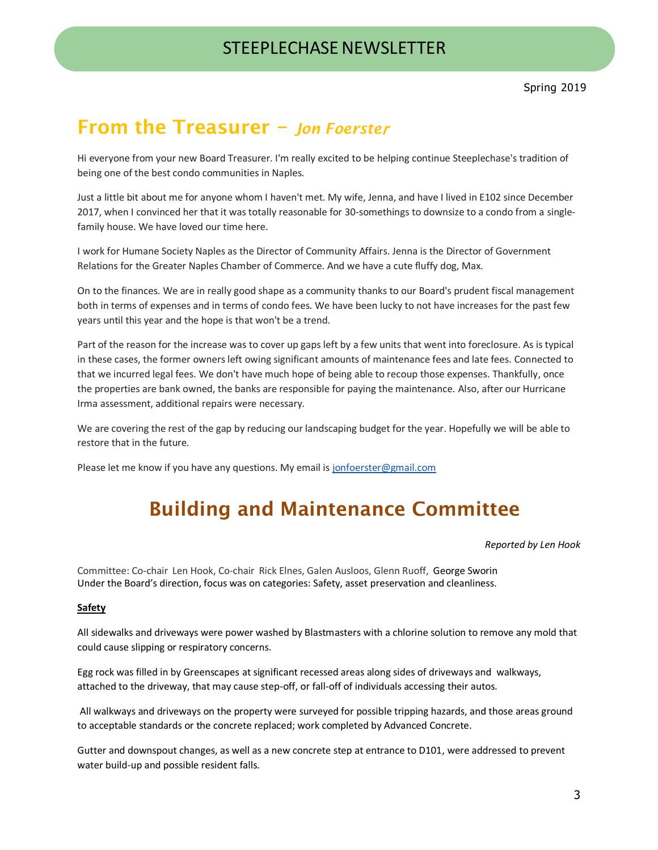#### STEEPLECHASE NEWSLETTER

#### **From the Treasurer –** *Jon Foerste*<sup>r</sup>

Hi everyone from your new Board Treasurer. I'm really excited to be helping continue Steeplechase's tradition of being one of the best condo communities in Naples.

Just a little bit about me for anyone whom I haven't met. My wife, Jenna, and have I lived in E102 since December 2017, when I convinced her that it was totally reasonable for 30-somethings to downsize to a condo from a singlefamily house. We have loved our time here.

I work for Humane Society Naples as the Director of Community Affairs. Jenna is the Director of Government Relations for the Greater Naples Chamber of Commerce. And we have a cute fluffy dog, Max.

On to the finances. We are in really good shape as a community thanks to our Board's prudent fiscal management both in terms of expenses and in terms of condo fees. We have been lucky to not have increases for the past few years until this year and the hope is that won't be a trend.

Part of the reason for the increase was to cover up gaps left by a few units that went into foreclosure. As is typical in these cases, the former owners left owing significant amounts of maintenance fees and late fees. Connected to that we incurred legal fees. We don't have much hope of being able to recoup those expenses. Thankfully, once the properties are bank owned, the banks are responsible for paying the maintenance. Also, after our Hurricane Irma assessment, additional repairs were necessary.

We are covering the rest of the gap by reducing our landscaping budget for the year. Hopefully we will be able to restore that in the future.

Please let me know if you have any questions. My email is [jonfoerster@gmail.com](mailto:jonfoerster@gmail.com)

### **Building and Maintenance Committee**

#### *Reported by Len Hook*

Committee: Co-chair Len Hook, Co-chair Rick Elnes, Galen Ausloos, Glenn Ruoff, George Sworin Under the Board's direction, focus was on categories: Safety, asset preservation and cleanliness.

#### **Safety**

All sidewalks and driveways were power washed by Blastmasters with a chlorine solution to remove any mold that could cause slipping or respiratory concerns.

Egg rock was filled in by Greenscapes at significant recessed areas along sides of driveways and walkways, attached to the driveway, that may cause step-off, or fall-off of individuals accessing their autos.

All walkways and driveways on the property were surveyed for possible tripping hazards, and those areas ground to acceptable standards or the concrete replaced; work completed by Advanced Concrete.

Gutter and downspout changes, as well as a new concrete step at entrance to D101, were addressed to prevent water build-up and possible resident falls.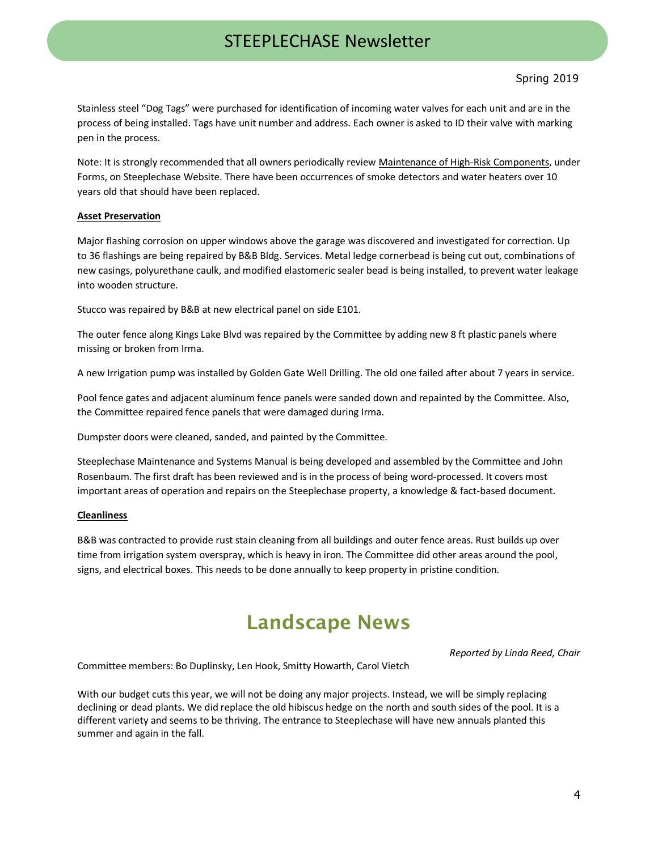#### Spring 2019

Stainless steel "Dog Tags" were purchased for identification of incoming water valves for each unit and are in the process of being installed. Tags have unit number and address. Each owner is asked to ID their valve with marking pen in the process.

Note: It is strongly recommended that all owners periodically review Maintenance of High-Risk Components, under Forms, on Steeplechase Website. There have been occurrences of smoke detectors and water heaters over 10 years old that should have been replaced.

#### **Asset Preservation**

Major flashing corrosion on upper windows above the garage was discovered and investigated for correction. Up to 36 flashings are being repaired by B&B Bldg. Services. Metal ledge cornerbead is being cut out, combinations of new casings, polyurethane caulk, and modified elastomeric sealer bead is being installed, to prevent water leakage into wooden structure.

Stucco was repaired by B&B at new electrical panel on side E101.

The outer fence along Kings Lake Blvd was repaired by the Committee by adding new 8 ft plastic panels where missing or broken from Irma.

A new Irrigation pump was installed by Golden Gate Well Drilling. The old one failed after about 7 years in service.

Pool fence gates and adjacent aluminum fence panels were sanded down and repainted by the Committee. Also, the Committee repaired fence panels that were damaged during Irma.

Dumpster doors were cleaned, sanded, and painted by the Committee.

Steeplechase Maintenance and Systems Manual is being developed and assembled by the Committee and John Rosenbaum. The first draft has been reviewed and is in the process of being word-processed. It covers most important areas of operation and repairs on the Steeplechase property, a knowledge & fact-based document.

#### **Cleanliness**

B&B was contracted to provide rust stain cleaning from all buildings and outer fence areas. Rust builds up over time from irrigation system overspray, which is heavy in iron. The Committee did other areas around the pool, signs, and electrical boxes. This needs to be done annually to keep property in pristine condition.

#### **Landscape News**

*Reported by Linda Reed, Chair* 

Committee members: Bo Duplinsky, Len Hook, Smitty Howarth, Carol Vietch

With our budget cuts this year, we will not be doing any major projects. Instead, we will be simply replacing declining or dead plants. We did replace the old hibiscus hedge on the north and south sides of the pool. It is a different variety and seems to be thriving. The entrance to Steeplechase will have new annuals planted this summer and again in the fall.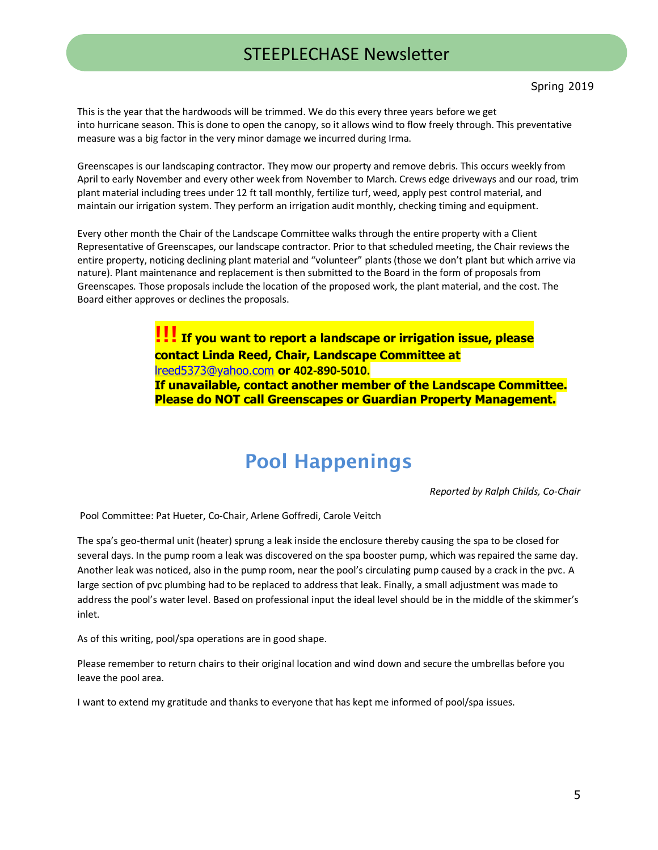This is the year that the hardwoods will be trimmed. We do this every three years before we get into hurricane season. This is done to open the canopy, so it allows wind to flow freely through. This preventative measure was a big factor in the very minor damage we incurred during Irma.

Greenscapes is our landscaping contractor. They mow our property and remove debris. This occurs weekly from April to early November and every other week from November to March. Crews edge driveways and our road, trim plant material including trees under 12 ft tall monthly, fertilize turf, weed, apply pest control material, and maintain our irrigation system. They perform an irrigation audit monthly, checking timing and equipment.

Every other month the Chair of the Landscape Committee walks through the entire property with a Client Representative of Greenscapes, our landscape contractor. Prior to that scheduled meeting, the Chair reviews the entire property, noticing declining plant material and "volunteer" plants (those we don't plant but which arrive via nature). Plant maintenance and replacement is then submitted to the Board in the form of proposals from Greenscapes. Those proposals include the location of the proposed work, the plant material, and the cost. The Board either approves or declines the proposals.

> **!!! If you want to report a landscape or irrigation issue, please contact Linda Reed, Chair, Landscape Committee at**  [lreed5373@yahoo.com](mailto:lreed5373@yahoo.com) **or 402-890-5010. If unavailable, contact another member of the Landscape Committee. Please do NOT call Greenscapes or Guardian Property Management.**

### **Pool Happenings**

*Reported by Ralph Childs, Co-Chair*

Pool Committee: Pat Hueter, Co-Chair, Arlene Goffredi, Carole Veitch

The spa's geo-thermal unit (heater) sprung a leak inside the enclosure thereby causing the spa to be closed for several days. In the pump room a leak was discovered on the spa booster pump, which was repaired the same day. Another leak was noticed, also in the pump room, near the pool's circulating pump caused by a crack in the pvc. A large section of pvc plumbing had to be replaced to address that leak. Finally, a small adjustment was made to address the pool's water level. Based on professional input the ideal level should be in the middle of the skimmer's inlet.

As of this writing, pool/spa operations are in good shape.

Please remember to return chairs to their original location and wind down and secure the umbrellas before you leave the pool area.

I want to extend my gratitude and thanks to everyone that has kept me informed of pool/spa issues.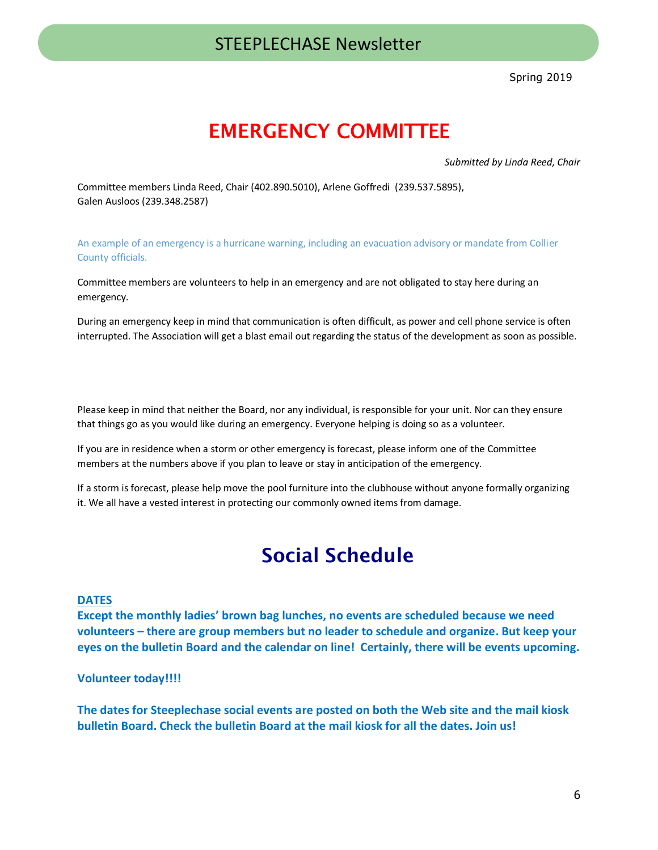Spring 2019

### **EMERGENCY** COMMITTEE

*Submitted by Linda Reed, Chair* 

Committee members Linda Reed, Chair (402.890.5010), Arlene Goffredi (239.537.5895), Galen Ausloos (239.348.2587)

An example of an emergency is a hurricane warning, including an evacuation advisory or mandate from Collier County officials.

Committee members are volunteers to help in an emergency and are not obligated to stay here during an emergency.

During an emergency keep in mind that communication is often difficult, as power and cell phone service is often interrupted. The Association will get a blast email out regarding the status of the development as soon as possible.

Please keep in mind that neither the Board, nor any individual, is responsible for your unit. Nor can they ensure that things go as you would like during an emergency. Everyone helping is doing so as a volunteer.

If you are in residence when a storm or other emergency is forecast, please inform one of the Committee members at the numbers above if you plan to leave or stay in anticipation of the emergency.

If a storm is forecast, please help move the pool furniture into the clubhouse without anyone formally organizing it. We all have a vested interest in protecting our commonly owned items from damage.

### **Social Schedule**

#### **DATES**

**Except the monthly ladies' brown bag lunches, no events are scheduled because we need volunteers – there are group members but no leader to schedule and organize. But keep your eyes on the bulletin Board and the calendar on line! Certainly, there will be events upcoming.**

#### **Volunteer today!!!!**

**The dates for Steeplechase social events are posted on both the Web site and the mail kiosk bulletin Board. Check the bulletin Board at the mail kiosk for all the dates. Join us!**